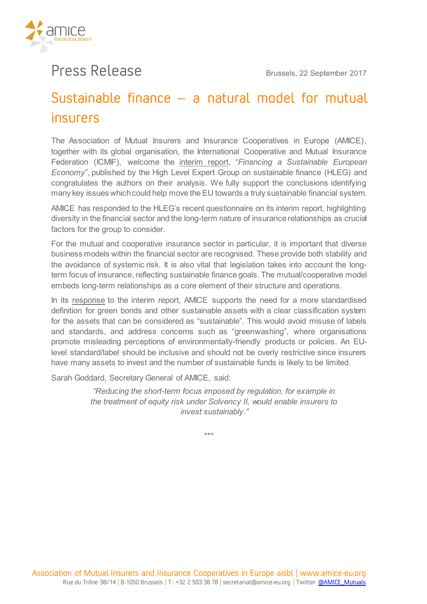

## Press Release **Brussels, 22 September <sup>2017</sup>**

## Sustainable finance – a natural model for mutual insurers

**The Association of Mutual Insurers and Insurance Cooperatives in Europe (AMICE), together with its global organisation, the International Cooperative and Mutual Insurance Federation (ICMIF), welcome the [interim report,](https://ec.europa.eu/info/sites/info/files/170713-sustainable-finance-report_en.pdf) "***Financing a Sustainable European Economy***", published by the High Level Expert Group on sustainable finance (HLEG) and congratulates the authors on their analysis. We fully support the conclusions identifying many key issues which could help move the EU towards a truly sustainable financial system.**

**AMICE has responded to the HLEG's recent questionnaire on its interim report, highlighting diversity in the financial sector and the long-term nature of insurance relationships as crucial factors for the group to consider.**

**For the mutual and cooperative insurance sector in particular, it is important that diverse business models within the financial sector are recognised. These provide both stability and the avoidance of systemic risk. It is also vital that legislation takes into account the longterm focus of insurance, reflecting sustainable finance goals. The mutual/cooperative model embeds long-term relationships as a core element of their structure and operations.**

**In its [response](http://www.amice-eu.org/Download.ashx?ID=62066) to the interim report, AMICE supports the need for a more standardised definition for green bonds and other sustainable assets with a clear classification system for the assets that can be considered as "sustainable". This would avoid misuse of labels and standards, and address concerns such as "greenwashing", where organisations promote misleading perceptions of environmentally-friendly products or policies. An EUlevel standard/label should be inclusive and should not be overly restrictive since insurers have many assets to invest and the number of sustainable funds is likely to be limited.**

**Sarah Goddard, Secretary General of AMICE, said:** 

*"Reducing the short-term focus imposed by regulation, for example in the treatment of equity risk under Solvency II, would enable insurers to invest sustainably."*

**\*\*\***